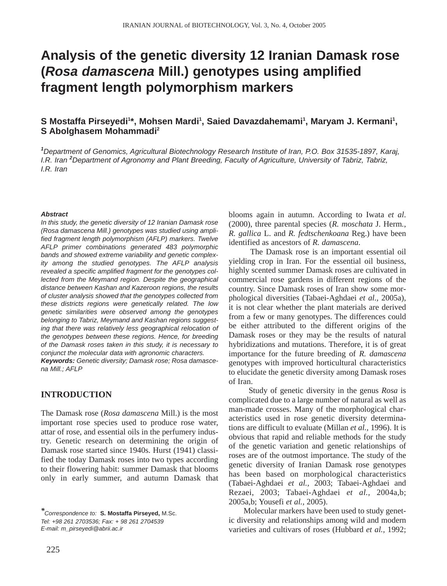# **Analysis of the genetic diversity 12 Iranian Damask rose (***Rosa damascena* **Mill.) genotypes using amplified fragment length polymorphism markers**

# S Mostaffa Pirseyedi<sup>1\*</sup>, Mohsen Mardi<sup>1</sup>, Saied Davazdahemami<sup>1</sup>, Maryam J. Kermani<sup>1</sup>, **S Abolghasem Mohammadi2**

*1 Department of Genomics, Agricultural Biotechnology Research Institute of Iran, P.O. Box 31535-1897, Karaj, I.R. Iran <sup>2</sup> Department of Agronomy and Plant Breeding, Faculty of Agriculture, University of Tabriz, Tabriz, I.R. Iran*

#### *Abstract*

*In this study, the genetic diversity of 12 Iranian Damask rose (Rosa damascena Mill.) genotypes was studied using amplified fragment length polymorphism (AFLP) markers. Twelve AFLP primer combinations generated 483 polymorphic bands and showed extreme variability and genetic complexity among the studied genotypes. The AFLP analysis revealed a specific amplified fragment for the genotypes collected from the Meymand region. Despite the geographical distance between Kashan and Kazeroon regions, the results of cluster analysis showed that the genotypes collected from these districts regions were genetically related. The low genetic similarities were observed among the genotypes belonging to Tabriz, Meymand and Kashan regions suggesting that there was relatively less geographical relocation of the genotypes between these regions. Hence, for breeding of the Damask roses taken in this study, it is necessary to conjunct the molecular data with agronomic characters.* 

*Keywords: Genetic diversity; Damask rose; Rosa damascena Mill.; AFLP*

# **INTRODUCTION**

The Damask rose (*Rosa damascena* Mill.) is the most important rose species used to produce rose water, attar of rose, and essential oils in the perfumery industry. Genetic research on determining the origin of Damask rose started since 1940s. Hurst (1941) classified the today Damask roses into two types according to their flowering habit: summer Damask that blooms only in early summer, and autumn Damask that

*E-mail: m\_pirseyedi@abrii.ac.ir*

blooms again in autumn. According to Iwata *et al*. (2000), three parental species (*R. moschata* J. Herm*.*, *R. gallica* L. and *R. fedtschenkoana* Reg.) have been identified as ancestors of *R. damascena*.

The Damask rose is an important essential oil yielding crop in Iran. For the essential oil business, highly scented summer Damask roses are cultivated in commercial rose gardens in different regions of the country. Since Damask roses of Iran show some morphological diversities (Tabaei-Aghdaei *et al.,* 2005a), it is not clear whether the plant materials are derived from a few or many genotypes. The differences could be either attributed to the different origins of the Damask roses or they may be the results of natural hybridizations and mutations. Therefore, it is of great importance for the future breeding of *R. damascena* genotypes with improved horticultural characteristics to elucidate the genetic diversity among Damask roses of Iran.

Study of genetic diversity in the genus *Rosa* is complicated due to a large number of natural as well as man-made crosses. Many of the morphological characteristics used in rose genetic diversity determinations are difficult to evaluate (Millan *et al.,* 1996). It is obvious that rapid and reliable methods for the study of the genetic variation and genetic relationships of roses are of the outmost importance. The study of the genetic diversity of Iranian Damask rose genotypes has been based on morphological characteristics (Tabaei-Aghdaei *et al.,* 2003; Tabaei-Aghdaei and Rezaei, 2003; Tabaei-Aghdaei *et al.,* 2004a,b; 2005a,b; Yousefi *et al.,* 2005).

Molecular markers have been used to study genetic diversity and relationships among wild and modern varieties and cultivars of roses (Hubbard *et al.,* 1992;

*<sup>\*</sup>Correspondence to:* **S. Mostaffa Pirseyed,** M.Sc. *Tel: +98 261 2703536; Fax: + 98 261 2704539*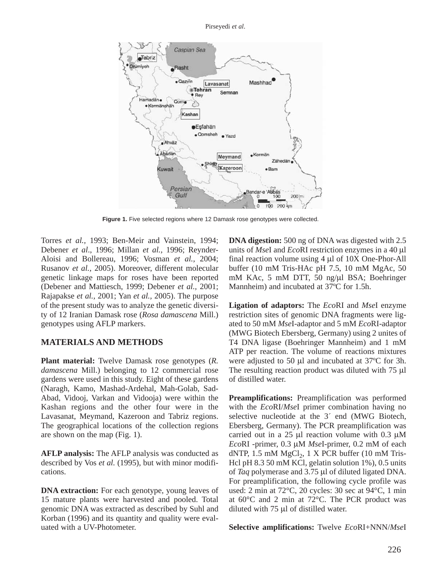Pirseyedi *et al*.



**Figure 1.** Five selected regions where 12 Damask rose genotypes were collected.

Torres *et al.,* 1993; Ben-Meir and Vainstein, 1994; Debener *et al*., 1996; Millan *et al.,* 1996; Reynder-Aloisi and Bollereau, 1996; Vosman *et al.,* 2004; Rusanov *et al.,* 2005). Moreover, different molecular genetic linkage maps for roses have been reported (Debener and Mattiesch, 1999; Debener *et al.,* 2001; Rajapakse *et al.,* 2001; Yan *et al.,* 2005). The purpose of the present study was to analyze the genetic diversity of 12 Iranian Damask rose (*Rosa damascena* Mill.) genotypes using AFLP markers.

# **MATERIALS AND METHODS**

**Plant material:** Twelve Damask rose genotypes (*R. damascena* Mill.) belonging to 12 commercial rose gardens were used in this study. Eight of these gardens (Naragh, Kamo, Mashad-Ardehal, Mah-Golab, Sad-Abad, Vidooj, Varkan and Vidooja) were within the Kashan regions and the other four were in the Lavasanat, Meymand, Kazeroon and Tabriz regions. The geographical locations of the collection regions are shown on the map (Fig. 1).

**AFLP analysis:** The AFLP analysis was conducted as described by Vos *et al.* (1995), but with minor modifications.

**DNA extraction:** For each genotype, young leaves of 15 mature plants were harvested and pooled. Total genomic DNA was extracted as described by Suhl and Korban (1996) and its quantity and quality were evaluated with a UV-Photometer.

**DNA digestion:** 500 ng of DNA was digested with 2.5 units of *Mse*I and *Eco*RI restriction enzymes in a 40 µl final reaction volume using 4 µl of 10X One-Phor-All buffer (10 mM Tris-HAc pH 7.5, 10 mM MgAc, 50 mM KAc, 5 mM DTT, 50 ng/µl BSA; Boehringer Mannheim) and incubated at 37ºC for 1.5h.

**Ligation of adaptors:** The *Eco*RI and *Mse*I enzyme restriction sites of genomic DNA fragments were ligated to 50 mM *Mse*I-adaptor and 5 mM *Eco*RI-adaptor (MWG Biotech Ebersberg, Germany) using 2 unites of T4 DNA ligase (Boehringer Mannheim) and 1 mM ATP per reaction. The volume of reactions mixtures were adjusted to 50 µl and incubated at 37ºC for 3h. The resulting reaction product was diluted with 75  $\mu$ l of distilled water.

**Preamplifications:** Preamplification was performed with the *Eco*RI/*Mse*I primer combination having no selective nucleotide at the 3*´* end (MWG Biotech, Ebersberg, Germany). The PCR preamplification was carried out in a 25 µl reaction volume with 0.3 µM *Eco*RI -primer, 0.3 µM *Mse*I-primer, 0.2 mM of each dNTP,  $1.5$  mM MgCl<sub>2</sub>,  $1 \times$  PCR buffer (10 mM Tris-Hcl pH 8.3 50 mM KCl, gelatin solution 1%), 0.5 units of *Taq* polymerase and 3.75 µl of diluted ligated DNA. For preamplification, the following cycle profile was used: 2 min at 72°C, 20 cycles: 30 sec at 94°C, 1 min at 60°C and 2 min at 72°C. The PCR product was diluted with 75 µl of distilled water.

**Selective amplifications:** Twelve *Eco*RI+NNN/*Mse*I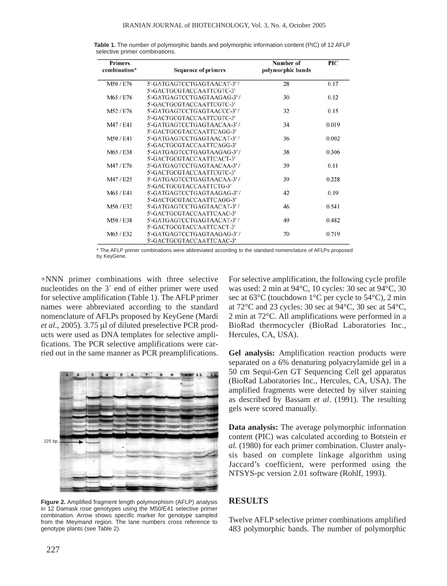| Primers<br>combination* | <b>Sequence of primers</b>  | Number of<br>polymorphic bands | PIC   |
|-------------------------|-----------------------------|--------------------------------|-------|
| M50/E76                 | 5'-GATGAGTCCTGAGTAACAT-3'/  | 28                             | 0.17  |
|                         | 5'-GACTGCGTACCAATTCGTC-3'   |                                |       |
| M65 / E76               | 5'-GATGAGTCCTGAGTAAGAG-3'/  | 30                             | 0.12  |
|                         | 5'-GACTGCGTACCAATTCGTC-3'   |                                |       |
| M52/E76                 | 5'-GATGAGTCCTGAGTAACCC-3'/  | 32                             | 0.15  |
|                         | 5'-GACTGCGTACCAATTCGTC-3'   |                                |       |
| M47/E41                 | 5'-GATGAGTCCTGAGTAACAA-3'/  | 34                             | 0.019 |
|                         | 5'-GACTGCGTACCAATTCAGG-3'   |                                |       |
| M50/E41                 | 5'-GATGAGTCCTGAGTAACAT-3'/  | 36                             | 0.002 |
|                         | 5'-GACTGCGTACCAATTCAGG-3'   |                                |       |
| M65/E38                 | 5'-GATGAGTCCTGAGTAAGAG-3'/  | 38                             | 0.306 |
|                         | 5'-GACTGCGTACCAATTCACT-3'   |                                |       |
| M47/E76                 | 5'-GATGAGTCCTGAGTAACAA-3'/  | 39                             | 0.11  |
|                         | 5'-GACTGCGTACCAATTCGTC-3'   |                                |       |
| M47/E25                 | 5'-GATGAGTCCTGAGTAACAA-3'/  | 39                             | 0.228 |
|                         | 5'-GACTGCGTACCAATTCTG-3'    |                                |       |
| M65/E41                 | 5'-GATGAGTCCTGAGTAAGAG-3'/  | 42                             | 0.19  |
|                         | 5'-GACTGCGTACCAATTCAGG-3'   |                                |       |
| M50/E32                 | 5'-GATGAGTCCTGAGTAACAT-3'/  | 46                             | 0.541 |
|                         | 5'-GACTGCGTACCAATTCAAC-3'   |                                |       |
| M50/E38                 | 5'-GATGAGTCCTGAGTAACAT-3'/  | 49                             | 0.482 |
|                         | 5'-GACTGCGTACCAATTCACT-3'   |                                |       |
| M65 / E32               | 5'-GATGAGTCCTGAGTAAGAG-3' / | 70                             | 0.719 |
|                         | 5'-GACTGCGTACCAATTCAAC-3'   |                                |       |

**Table 1.** The number of polymorphic bands and polymorphic information content (PIC) of 12 AFLP selective primer combinations.

\* The AFLP primer combinations were abbreviated according to the standard nomenclature of AFLPs proposed by KeyGene.

+NNN primer combinations with three selective nucleotides on the 3*´* end of either primer were used for selective amplification (Table 1). The AFLP primer names were abbreviated according to the standard nomenclature of AFLPs proposed by KeyGene (Mardi *et al*., 2005). 3.75 µl of diluted preselective PCR products were used as DNA templates for selective amplifications. The PCR selective amplifications were carried out in the same manner as PCR preamplifications.



**Figure 2.** Amplified fragment length polymorphism (AFLP) analysis in 12 Damask rose genotypes using the M50/E41 selective primer combination. Arrow shows specific marker for genotype sampled from the Meymand region. The lane numbers cross reference to genotype plants (see Table 2).

For selective amplification, the following cycle profile was used: 2 min at 94°C, 10 cycles: 30 sec at 94°C, 30 sec at 63°C (touchdown 1°C per cycle to 54°C), 2 min at  $72^{\circ}$ C and 23 cycles: 30 sec at  $94^{\circ}$ C, 30 sec at  $54^{\circ}$ C, 2 min at 72°C. All amplifications were performed in a BioRad thermocycler (BioRad Laboratories Inc., Hercules, CA, USA).

**Gel analysis:** Amplification reaction products were separated on a 6% denaturing polyacrylamide gel in a 50 cm Sequi-Gen GT Sequencing Cell gel apparatus (BioRad Laboratories Inc., Hercules, CA, USA). The amplified fragments were detected by silver staining as described by Bassam *et al*. (1991). The resulting gels were scored manually.

**Data analysis:** The average polymorphic information content (PIC) was calculated according to Botstein *et al.* (1980) for each primer combination. Cluster analysis based on complete linkage algorithm using Jaccard's coefficient, were performed using the NTSYS-pc version 2.01 software (Rohlf, 1993).

### **RESULTS**

Twelve AFLP selective primer combinations amplified 483 polymorphic bands. The number of polymorphic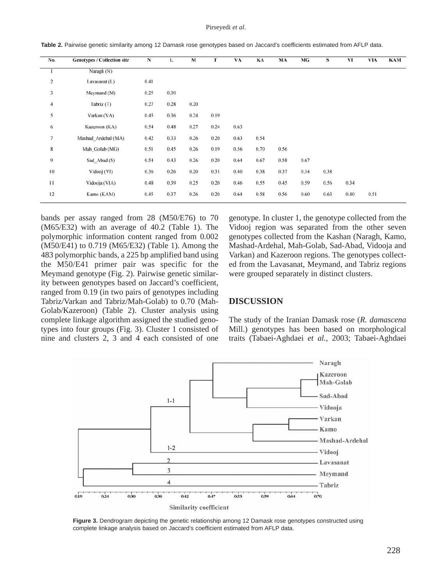#### Pirseyedi *et al*.

| No.                     | <b>Genotypes / Collection site</b> | N    | L    | M    | т    | VA   | KA   | MA   | MG   | s    | VI   | <b>VIA</b> | <b>KAM</b> |
|-------------------------|------------------------------------|------|------|------|------|------|------|------|------|------|------|------------|------------|
| 1                       | Naragh (N)                         |      |      |      |      |      |      |      |      |      |      |            |            |
| $\overline{\mathbf{c}}$ | Lavasanat (L)                      | 0.41 |      |      |      |      |      |      |      |      |      |            |            |
| $\overline{\mathbf{3}}$ | Meymand (M)                        | 0.25 | 0.30 |      |      |      |      |      |      |      |      |            |            |
| $\overline{4}$          | Tabriz (T)                         | 0.27 | 0.28 | 0.20 |      |      |      |      |      |      |      |            |            |
| 5                       | Varkan (VA)                        | 0.45 | 0.36 | 0.24 | 0.19 |      |      |      |      |      |      |            |            |
| $\sqrt{6}$              | Kazeroon (KA)                      | 0.54 | 0.48 | 0.27 | 0.24 | 0.63 |      |      |      |      |      |            |            |
| $\overline{7}$          | Mashad Ardehal (MA)                | 0.42 | 0.33 | 0.26 | 0.20 | 0.63 | 0.54 |      |      |      |      |            |            |
| 8                       | Mah Golab (MG)                     | 0.51 | 0.45 | 0.26 | 0.19 | 0.56 | 0.70 | 0.56 |      |      |      |            |            |
| 9                       | Sad_Abad (S)                       | 0.54 | 0.43 | 0.26 | 0.20 | 0.64 | 0.67 | 0.58 | 0.67 |      |      |            |            |
| 10                      | Vidooj (VI)                        | 0.36 | 0.26 | 0.20 | 0.31 | 0.40 | 0.38 | 0.37 | 0.34 | 0.38 |      |            |            |
| $\overline{11}$         | Vidooja (VIA)                      | 0.48 | 0.39 | 0.25 | 0.20 | 0.46 | 0.55 | 0.45 | 0.59 | 0.56 | 0.34 |            |            |
| 12                      | Kamo (KAM)                         | 0.45 | 0.37 | 0.26 | 0.20 | 0.64 | 0.58 | 0.56 | 0.60 | 0.63 | 0.40 | 0.51       |            |

**Table 2.** Pairwise genetic similarity among 12 Damask rose genotypes based on Jaccard's coefficients estimated from AFLP data.

bands per assay ranged from 28 (M50/E76) to 70 (M65/E32) with an average of 40.2 (Table 1). The polymorphic information content ranged from 0.002 (M50/E41) to 0.719 (M65/E32) (Table 1). Among the 483 polymorphic bands, a 225 bp amplified band using the M50/E41 primer pair was specific for the Meymand genotype (Fig. 2). Pairwise genetic similarity between genotypes based on Jaccard's coefficient, ranged from 0.19 (in two pairs of genotypes including Tabriz/Varkan and Tabriz/Mah-Golab) to 0.70 (Mah-Golab/Kazeroon) (Table 2). Cluster analysis using complete linkage algorithm assigned the studied genotypes into four groups (Fig. 3). Cluster 1 consisted of nine and clusters 2, 3 and 4 each consisted of one

genotype. In cluster 1, the genotype collected from the Vidooj region was separated from the other seven genotypes collected from the Kashan (Naragh, Kamo, Mashad-Ardehal, Mah-Golab, Sad-Abad, Vidooja and Varkan) and Kazeroon regions. The genotypes collected from the Lavasanat, Meymand, and Tabriz regions were grouped separately in distinct clusters.

## **DISCUSSION**

The study of the Iranian Damask rose (*R. damascena* Mill.) genotypes has been based on morphological traits (Tabaei-Aghdaei *et al.,* 2003; Tabaei-Aghdaei



**Figure 3.** Dendrogram depicting the genetic relationship among 12 Damask rose genotypes constructed using complete linkage analysis based on Jaccard's coefficient estimated from AFLP data.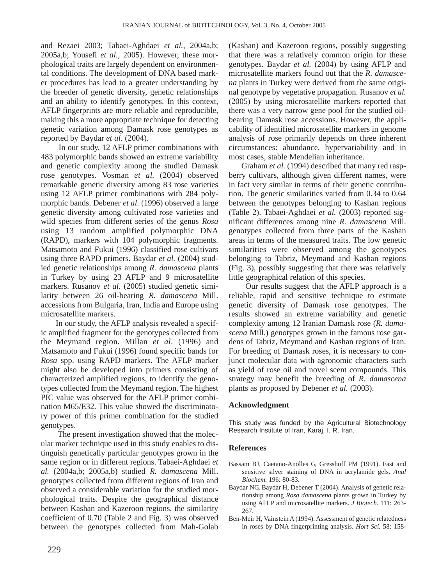and Rezaei 2003; Tabaei-Aghdaei *et al.,* 2004a,b; 2005a,b; Yousefi *et al.,* 2005). However, these morphological traits are largely dependent on environmental conditions. The development of DNA based marker procedures has lead to a greater understanding by the breeder of genetic diversity, genetic relationships and an ability to identify genotypes. In this context, AFLP fingerprints are more reliable and reproducible, making this a more appropriate technique for detecting genetic variation among Damask rose genotypes as reported by Baydar *et al.* (2004).

In our study, 12 AFLP primer combinations with 483 polymorphic bands showed an extreme variability and genetic complexity among the studied Damask rose genotypes. Vosman *et al.* (2004) observed remarkable genetic diversity among 83 rose varieties using 12 AFLP primer combinations with 284 polymorphic bands. Debener *et al*. (1996) observed a large genetic diversity among cultivated rose varieties and wild species from different series of the genus *Rosa* using 13 random amplified polymorphic DNA (RAPD), markers with 104 polymorphic fragments*.* Matsamoto and Fukui (1996) classified rose cultivars using three RAPD primers. Baydar *et al.* (2004) studied genetic relationships among *R. damascena* plants in Turkey by using 23 AFLP and 9 microsatellite markers. Rusanov *et al.* (2005) studied genetic similarity between 26 oil-bearing *R. damascena* Mill. accessions from Bulgaria, Iran, India and Europe using microsatellite markers.

In our study, the AFLP analysis revealed a specific amplified fragment for the genotypes collected from the Meymand region. Millan *et al*. (1996) and Matsamoto and Fukui (1996) found specific bands for *Rosa* spp. using RAPD markers. The AFLP marker might also be developed into primers consisting of characterized amplified regions, to identify the genotypes collected from the Meymand region. The highest PIC value was observed for the AFLP primer combination M65/E32. This value showed the discriminatory power of this primer combination for the studied genotypes.

The present investigation showed that the molecular marker technique used in this study enables to distinguish genetically particular genotypes grown in the same region or in different regions. Tabaei-Aghdaei *et al.* (2004a,b; 2005a,b) studied *R. damascena* Mill. genotypes collected from different regions of Iran and observed a considerable variation for the studied morphological traits. Despite the geographical distance between Kashan and Kazeroon regions, the similarity coefficient of 0.70 (Table 2 and Fig. 3) was observed between the genotypes collected from Mah-Golab

(Kashan) and Kazeroon regions, possibly suggesting that there was a relatively common origin for these genotypes. Baydar *et al.* (2004) by using AFLP and microsatellite markers found out that the *R. damascena* plants in Turkey were derived from the same original genotype by vegetative propagation. Rusanov *et al.* (2005) by using microsatellite markers reported that there was a very narrow gene pool for the studied oilbearing Damask rose accessions. However, the applicability of identified microsatellite markers in genome analysis of rose primarily depends on three inherent circumstances: abundance, hypervariability and in most cases, stable Mendelian inheritance.

Graham *et al.* (1994) described that many red raspberry cultivars, although given different names, were in fact very similar in terms of their genetic contribution. The genetic similarities varied from 0.34 to 0.64 between the genotypes belonging to Kashan regions (Table 2). Tabaei-Aghdaei *et al.* (2003) reported significant differences among nine *R. damascena* Mill. genotypes collected from three parts of the Kashan areas in terms of the measured traits. The low genetic similarities were observed among the genotypes belonging to Tabriz, Meymand and Kashan regions (Fig. 3), possibly suggesting that there was relatively little geographical relation of this species.

Our results suggest that the AFLP approach is a reliable, rapid and sensitive technique to estimate genetic diversity of Damask rose genotypes. The results showed an extreme variability and genetic complexity among 12 Iranian Damask rose (*R. damascena* Mill.) genotypes grown in the famous rose gardens of Tabriz, Meymand and Kashan regions of Iran. For breeding of Damask roses, it is necessary to conjunct molecular data with agronomic characters such as yield of rose oil and novel scent compounds. This strategy may benefit the breeding of *R. damascena* plants as proposed by Debener *et al.* (2003).

# **Acknowledgment**

This study was funded by the Agricultural Biotechnology Research Institute of Iran, Karaj, I. R. Iran.

# **References**

- Bassam BJ, Caetano-Anolles G, Gresshoff PM (1991). Fast and sensitive silver staining of DNA in acrylamide gels. *Anal Biochem.* 196: 80-83.
- Baydar NG, Baydar H, Debener T (2004). Analysis of genetic relationship among *Rosa damascena* plants grown in Turkey by using AFLP and microsatellite markers. *J Biotech.* 111: 263- 267.
- Ben-Meir H, Vainstein A (1994). Assessment of genetic relatedness in roses by DNA fingerprinting analysis. *Hort Sci.* 58: 158-